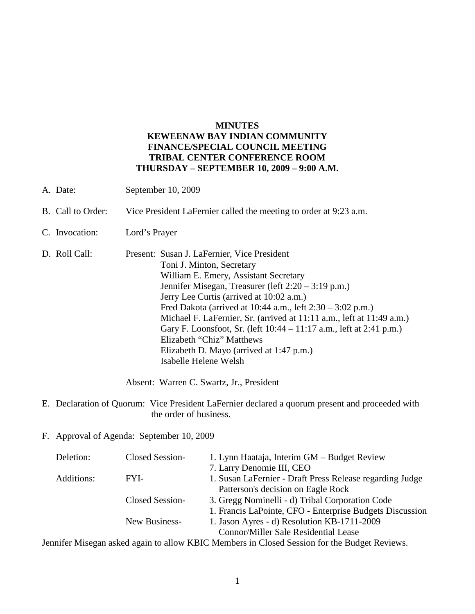## **MINUTES KEWEENAW BAY INDIAN COMMUNITY FINANCE/SPECIAL COUNCIL MEETING TRIBAL CENTER CONFERENCE ROOM THURSDAY – SEPTEMBER 10, 2009 – 9:00 A.M.**

- A. Date: September 10, 2009
- B. Call to Order: Vice President LaFernier called the meeting to order at 9:23 a.m.
- C. Invocation: Lord's Prayer
- D. Roll Call: Present: Susan J. LaFernier, Vice President Toni J. Minton, Secretary William E. Emery, Assistant Secretary Jennifer Misegan, Treasurer (left 2:20 – 3:19 p.m.) Jerry Lee Curtis (arrived at 10:02 a.m.) Fred Dakota (arrived at 10:44 a.m., left 2:30 – 3:02 p.m.) Michael F. LaFernier, Sr. (arrived at 11:11 a.m., left at 11:49 a.m.) Gary F. Loonsfoot, Sr. (left 10:44 – 11:17 a.m., left at 2:41 p.m.) Elizabeth "Chiz" Matthews Elizabeth D. Mayo (arrived at 1:47 p.m.) Isabelle Helene Welsh

Absent: Warren C. Swartz, Jr., President

- E. Declaration of Quorum: Vice President LaFernier declared a quorum present and proceeded with the order of business.
- F. Approval of Agenda: September 10, 2009

| Deletion:  | Closed Session- | 1. Lynn Haataja, Interim GM – Budget Review              |
|------------|-----------------|----------------------------------------------------------|
|            |                 | 7. Larry Denomie III, CEO                                |
| Additions: | FYI-            | 1. Susan LaFernier - Draft Press Release regarding Judge |
|            |                 | Patterson's decision on Eagle Rock                       |
|            | Closed Session- | 3. Gregg Nominelli - d) Tribal Corporation Code          |
|            |                 | 1. Francis LaPointe, CFO - Enterprise Budgets Discussion |
|            | New Business-   | 1. Jason Ayres - d) Resolution KB-1711-2009              |
|            |                 | <b>Connor/Miller Sale Residential Lease</b>              |

Jennifer Misegan asked again to allow KBIC Members in Closed Session for the Budget Reviews.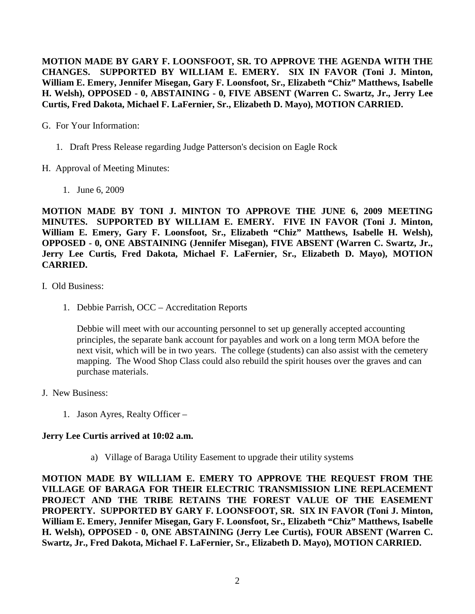**MOTION MADE BY GARY F. LOONSFOOT, SR. TO APPROVE THE AGENDA WITH THE CHANGES. SUPPORTED BY WILLIAM E. EMERY. SIX IN FAVOR (Toni J. Minton, William E. Emery, Jennifer Misegan, Gary F. Loonsfoot, Sr., Elizabeth "Chiz" Matthews, Isabelle H. Welsh), OPPOSED - 0, ABSTAINING - 0, FIVE ABSENT (Warren C. Swartz, Jr., Jerry Lee Curtis, Fred Dakota, Michael F. LaFernier, Sr., Elizabeth D. Mayo), MOTION CARRIED.**

- G. For Your Information:
	- 1. Draft Press Release regarding Judge Patterson's decision on Eagle Rock
- H. Approval of Meeting Minutes:
	- 1. June 6, 2009

**MOTION MADE BY TONI J. MINTON TO APPROVE THE JUNE 6, 2009 MEETING MINUTES. SUPPORTED BY WILLIAM E. EMERY. FIVE IN FAVOR (Toni J. Minton, William E. Emery, Gary F. Loonsfoot, Sr., Elizabeth "Chiz" Matthews, Isabelle H. Welsh), OPPOSED - 0, ONE ABSTAINING (Jennifer Misegan), FIVE ABSENT (Warren C. Swartz, Jr., Jerry Lee Curtis, Fred Dakota, Michael F. LaFernier, Sr., Elizabeth D. Mayo), MOTION CARRIED.**

- I. Old Business:
	- 1. Debbie Parrish, OCC Accreditation Reports

Debbie will meet with our accounting personnel to set up generally accepted accounting principles, the separate bank account for payables and work on a long term MOA before the next visit, which will be in two years. The college (students) can also assist with the cemetery mapping. The Wood Shop Class could also rebuild the spirit houses over the graves and can purchase materials.

- J. New Business:
	- 1. Jason Ayres, Realty Officer –

## **Jerry Lee Curtis arrived at 10:02 a.m.**

a) Village of Baraga Utility Easement to upgrade their utility systems

**MOTION MADE BY WILLIAM E. EMERY TO APPROVE THE REQUEST FROM THE VILLAGE OF BARAGA FOR THEIR ELECTRIC TRANSMISSION LINE REPLACEMENT PROJECT AND THE TRIBE RETAINS THE FOREST VALUE OF THE EASEMENT PROPERTY. SUPPORTED BY GARY F. LOONSFOOT, SR. SIX IN FAVOR (Toni J. Minton, William E. Emery, Jennifer Misegan, Gary F. Loonsfoot, Sr., Elizabeth "Chiz" Matthews, Isabelle H. Welsh), OPPOSED - 0, ONE ABSTAINING (Jerry Lee Curtis), FOUR ABSENT (Warren C. Swartz, Jr., Fred Dakota, Michael F. LaFernier, Sr., Elizabeth D. Mayo), MOTION CARRIED.**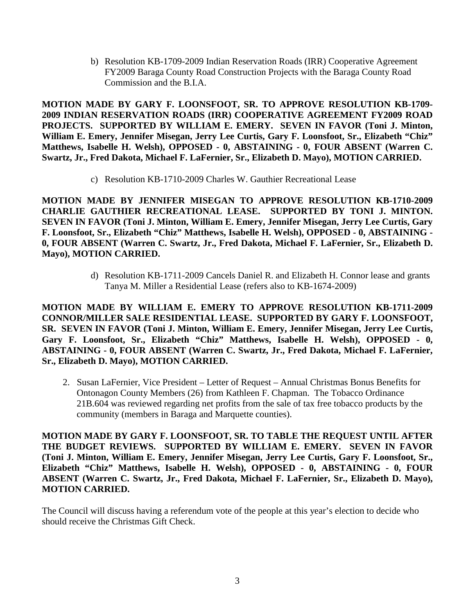b) Resolution KB-1709-2009 Indian Reservation Roads (IRR) Cooperative Agreement FY2009 Baraga County Road Construction Projects with the Baraga County Road Commission and the B.I.A.

**MOTION MADE BY GARY F. LOONSFOOT, SR. TO APPROVE RESOLUTION KB-1709- 2009 INDIAN RESERVATION ROADS (IRR) COOPERATIVE AGREEMENT FY2009 ROAD PROJECTS. SUPPORTED BY WILLIAM E. EMERY. SEVEN IN FAVOR (Toni J. Minton, William E. Emery, Jennifer Misegan, Jerry Lee Curtis, Gary F. Loonsfoot, Sr., Elizabeth "Chiz" Matthews, Isabelle H. Welsh), OPPOSED - 0, ABSTAINING - 0, FOUR ABSENT (Warren C. Swartz, Jr., Fred Dakota, Michael F. LaFernier, Sr., Elizabeth D. Mayo), MOTION CARRIED.**

c) Resolution KB-1710-2009 Charles W. Gauthier Recreational Lease

**MOTION MADE BY JENNIFER MISEGAN TO APPROVE RESOLUTION KB-1710-2009 CHARLIE GAUTHIER RECREATIONAL LEASE. SUPPORTED BY TONI J. MINTON. SEVEN IN FAVOR (Toni J. Minton, William E. Emery, Jennifer Misegan, Jerry Lee Curtis, Gary F. Loonsfoot, Sr., Elizabeth "Chiz" Matthews, Isabelle H. Welsh), OPPOSED - 0, ABSTAINING - 0, FOUR ABSENT (Warren C. Swartz, Jr., Fred Dakota, Michael F. LaFernier, Sr., Elizabeth D. Mayo), MOTION CARRIED.**

> d) Resolution KB-1711-2009 Cancels Daniel R. and Elizabeth H. Connor lease and grants Tanya M. Miller a Residential Lease (refers also to KB-1674-2009)

**MOTION MADE BY WILLIAM E. EMERY TO APPROVE RESOLUTION KB-1711-2009 CONNOR/MILLER SALE RESIDENTIAL LEASE. SUPPORTED BY GARY F. LOONSFOOT, SR. SEVEN IN FAVOR (Toni J. Minton, William E. Emery, Jennifer Misegan, Jerry Lee Curtis, Gary F. Loonsfoot, Sr., Elizabeth "Chiz" Matthews, Isabelle H. Welsh), OPPOSED - 0, ABSTAINING - 0, FOUR ABSENT (Warren C. Swartz, Jr., Fred Dakota, Michael F. LaFernier, Sr., Elizabeth D. Mayo), MOTION CARRIED.**

2. Susan LaFernier, Vice President – Letter of Request – Annual Christmas Bonus Benefits for Ontonagon County Members (26) from Kathleen F. Chapman. The Tobacco Ordinance 21B.604 was reviewed regarding net profits from the sale of tax free tobacco products by the community (members in Baraga and Marquette counties).

**MOTION MADE BY GARY F. LOONSFOOT, SR. TO TABLE THE REQUEST UNTIL AFTER THE BUDGET REVIEWS. SUPPORTED BY WILLIAM E. EMERY. SEVEN IN FAVOR (Toni J. Minton, William E. Emery, Jennifer Misegan, Jerry Lee Curtis, Gary F. Loonsfoot, Sr., Elizabeth "Chiz" Matthews, Isabelle H. Welsh), OPPOSED - 0, ABSTAINING - 0, FOUR ABSENT (Warren C. Swartz, Jr., Fred Dakota, Michael F. LaFernier, Sr., Elizabeth D. Mayo), MOTION CARRIED.**

The Council will discuss having a referendum vote of the people at this year's election to decide who should receive the Christmas Gift Check.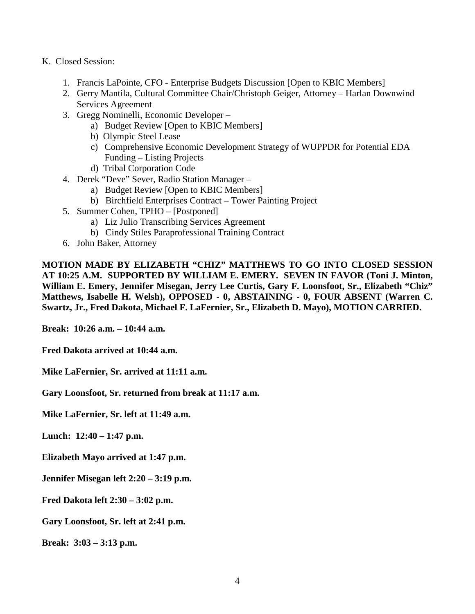- K. Closed Session:
	- 1. Francis LaPointe, CFO Enterprise Budgets Discussion [Open to KBIC Members]
	- 2. Gerry Mantila, Cultural Committee Chair/Christoph Geiger, Attorney Harlan Downwind Services Agreement
	- 3. Gregg Nominelli, Economic Developer
		- a) Budget Review [Open to KBIC Members]
		- b) Olympic Steel Lease
		- c) Comprehensive Economic Development Strategy of WUPPDR for Potential EDA Funding – Listing Projects
		- d) Tribal Corporation Code
	- 4. Derek "Deve" Sever, Radio Station Manager
		- a) Budget Review [Open to KBIC Members]
		- b) Birchfield Enterprises Contract Tower Painting Project
	- 5. Summer Cohen, TPHO [Postponed]
		- a) Liz Julio Transcribing Services Agreement
		- b) Cindy Stiles Paraprofessional Training Contract
	- 6. John Baker, Attorney

**MOTION MADE BY ELIZABETH "CHIZ" MATTHEWS TO GO INTO CLOSED SESSION AT 10:25 A.M. SUPPORTED BY WILLIAM E. EMERY. SEVEN IN FAVOR (Toni J. Minton, William E. Emery, Jennifer Misegan, Jerry Lee Curtis, Gary F. Loonsfoot, Sr., Elizabeth "Chiz" Matthews, Isabelle H. Welsh), OPPOSED - 0, ABSTAINING - 0, FOUR ABSENT (Warren C. Swartz, Jr., Fred Dakota, Michael F. LaFernier, Sr., Elizabeth D. Mayo), MOTION CARRIED.**

**Break: 10:26 a.m. – 10:44 a.m.**

**Fred Dakota arrived at 10:44 a.m.**

**Mike LaFernier, Sr. arrived at 11:11 a.m.**

**Gary Loonsfoot, Sr. returned from break at 11:17 a.m.**

**Mike LaFernier, Sr. left at 11:49 a.m.**

**Lunch: 12:40 – 1:47 p.m.**

**Elizabeth Mayo arrived at 1:47 p.m.**

**Jennifer Misegan left 2:20 – 3:19 p.m.**

**Fred Dakota left 2:30 – 3:02 p.m.**

**Gary Loonsfoot, Sr. left at 2:41 p.m.**

**Break: 3:03 – 3:13 p.m.**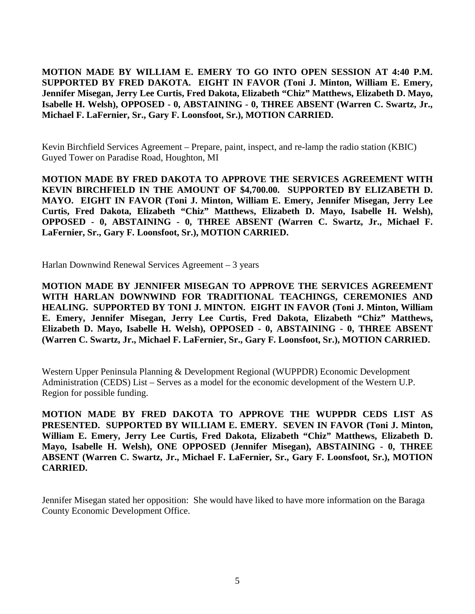**MOTION MADE BY WILLIAM E. EMERY TO GO INTO OPEN SESSION AT 4:40 P.M. SUPPORTED BY FRED DAKOTA. EIGHT IN FAVOR (Toni J. Minton, William E. Emery, Jennifer Misegan, Jerry Lee Curtis, Fred Dakota, Elizabeth "Chiz" Matthews, Elizabeth D. Mayo, Isabelle H. Welsh), OPPOSED - 0, ABSTAINING - 0, THREE ABSENT (Warren C. Swartz, Jr., Michael F. LaFernier, Sr., Gary F. Loonsfoot, Sr.), MOTION CARRIED.**

Kevin Birchfield Services Agreement – Prepare, paint, inspect, and re-lamp the radio station (KBIC) Guyed Tower on Paradise Road, Houghton, MI

**MOTION MADE BY FRED DAKOTA TO APPROVE THE SERVICES AGREEMENT WITH KEVIN BIRCHFIELD IN THE AMOUNT OF \$4,700.00. SUPPORTED BY ELIZABETH D. MAYO. EIGHT IN FAVOR (Toni J. Minton, William E. Emery, Jennifer Misegan, Jerry Lee Curtis, Fred Dakota, Elizabeth "Chiz" Matthews, Elizabeth D. Mayo, Isabelle H. Welsh), OPPOSED - 0, ABSTAINING - 0, THREE ABSENT (Warren C. Swartz, Jr., Michael F. LaFernier, Sr., Gary F. Loonsfoot, Sr.), MOTION CARRIED.**

Harlan Downwind Renewal Services Agreement – 3 years

**MOTION MADE BY JENNIFER MISEGAN TO APPROVE THE SERVICES AGREEMENT WITH HARLAN DOWNWIND FOR TRADITIONAL TEACHINGS, CEREMONIES AND HEALING. SUPPORTED BY TONI J. MINTON. EIGHT IN FAVOR (Toni J. Minton, William E. Emery, Jennifer Misegan, Jerry Lee Curtis, Fred Dakota, Elizabeth "Chiz" Matthews, Elizabeth D. Mayo, Isabelle H. Welsh), OPPOSED - 0, ABSTAINING - 0, THREE ABSENT (Warren C. Swartz, Jr., Michael F. LaFernier, Sr., Gary F. Loonsfoot, Sr.), MOTION CARRIED.**

Western Upper Peninsula Planning & Development Regional (WUPPDR) Economic Development Administration (CEDS) List – Serves as a model for the economic development of the Western U.P. Region for possible funding.

**MOTION MADE BY FRED DAKOTA TO APPROVE THE WUPPDR CEDS LIST AS PRESENTED. SUPPORTED BY WILLIAM E. EMERY. SEVEN IN FAVOR (Toni J. Minton, William E. Emery, Jerry Lee Curtis, Fred Dakota, Elizabeth "Chiz" Matthews, Elizabeth D. Mayo, Isabelle H. Welsh), ONE OPPOSED (Jennifer Misegan), ABSTAINING - 0, THREE ABSENT (Warren C. Swartz, Jr., Michael F. LaFernier, Sr., Gary F. Loonsfoot, Sr.), MOTION CARRIED.**

Jennifer Misegan stated her opposition: She would have liked to have more information on the Baraga County Economic Development Office.